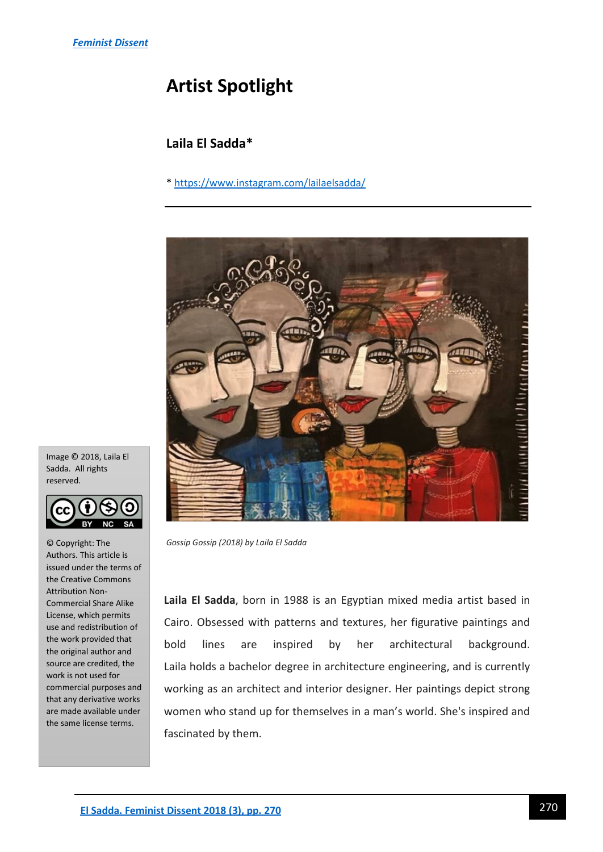# **Artist Spotlight**

## **Laila El Sadda\***

\*<https://www.instagram.com/lailaelsadda/>



*Gossip Gossip (2018) by Laila El Sadda* 

**Laila El Sadda**, born in 1988 is an Egyptian mixed media artist based in Cairo. Obsessed with patterns and textures, her figurative paintings and bold lines are inspired by her architectural background. Laila holds a bachelor degree in architecture engineering, and is currently working as an architect and interior designer. Her paintings depict strong women who stand up for themselves in a man's world. She's inspired and fascinated by them.

Image © 2018, Laila El Sadda. All rights reserved.



© Copyright: The Authors. This article is issued under the terms of the Creative Commons Attribution Non-Commercial Share Alike License, which permits use and redistribution of the work provided that the original author and source are credited, the work is not used for commercial purposes and that any derivative works are made available under the same license terms.